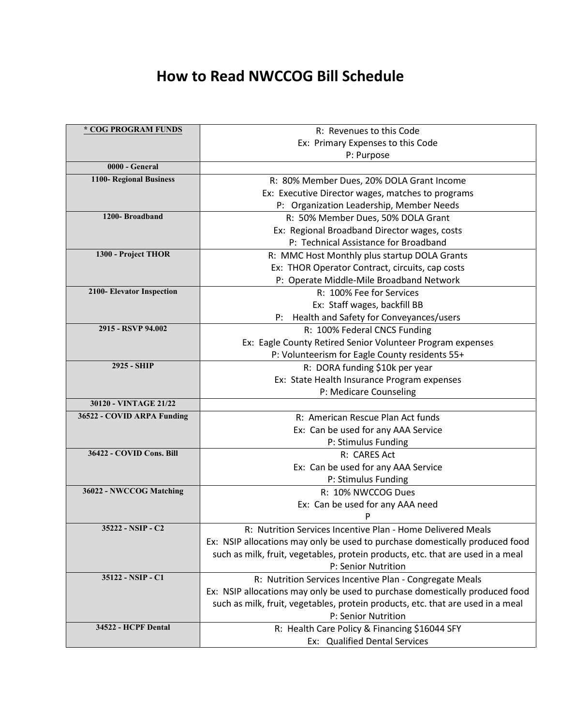## **How to Read NWCCOG Bill Schedule**

| * COG PROGRAM FUNDS        | R: Revenues to this Code                                                        |
|----------------------------|---------------------------------------------------------------------------------|
|                            | Ex: Primary Expenses to this Code                                               |
|                            | P: Purpose                                                                      |
| 0000 - General             |                                                                                 |
| 1100- Regional Business    | R: 80% Member Dues, 20% DOLA Grant Income                                       |
|                            | Ex: Executive Director wages, matches to programs                               |
|                            | P: Organization Leadership, Member Needs                                        |
| 1200-Broadband             | R: 50% Member Dues, 50% DOLA Grant                                              |
|                            | Ex: Regional Broadband Director wages, costs                                    |
|                            | P: Technical Assistance for Broadband                                           |
| 1300 - Project THOR        | R: MMC Host Monthly plus startup DOLA Grants                                    |
|                            | Ex: THOR Operator Contract, circuits, cap costs                                 |
|                            | P: Operate Middle-Mile Broadband Network                                        |
| 2100- Elevator Inspection  | R: 100% Fee for Services                                                        |
|                            | Ex: Staff wages, backfill BB                                                    |
|                            | P: Health and Safety for Conveyances/users                                      |
| 2915 - RSVP 94.002         | R: 100% Federal CNCS Funding                                                    |
|                            | Ex: Eagle County Retired Senior Volunteer Program expenses                      |
|                            | P: Volunteerism for Eagle County residents 55+                                  |
| 2925 - SHIP                | R: DORA funding \$10k per year                                                  |
|                            | Ex: State Health Insurance Program expenses                                     |
|                            | P: Medicare Counseling                                                          |
| 30120 - VINTAGE 21/22      |                                                                                 |
| 36522 - COVID ARPA Funding | R: American Rescue Plan Act funds                                               |
|                            | Ex: Can be used for any AAA Service                                             |
|                            | P: Stimulus Funding                                                             |
| 36422 - COVID Cons. Bill   | R: CARES Act                                                                    |
|                            | Ex: Can be used for any AAA Service                                             |
|                            | P: Stimulus Funding                                                             |
| 36022 - NWCCOG Matching    | R: 10% NWCCOG Dues                                                              |
|                            | Ex: Can be used for any AAA need                                                |
|                            | P                                                                               |
| 35222 - NSIP - C2          | R: Nutrition Services Incentive Plan - Home Delivered Meals                     |
|                            | Ex: NSIP allocations may only be used to purchase domestically produced food    |
|                            | such as milk, fruit, vegetables, protein products, etc. that are used in a meal |
|                            | P: Senior Nutrition                                                             |
| 35122 - NSIP - C1          | R: Nutrition Services Incentive Plan - Congregate Meals                         |
|                            | Ex: NSIP allocations may only be used to purchase domestically produced food    |
|                            | such as milk, fruit, vegetables, protein products, etc. that are used in a meal |
|                            | P: Senior Nutrition                                                             |
| 34522 - HCPF Dental        | R: Health Care Policy & Financing \$16044 SFY                                   |
|                            | Ex: Qualified Dental Services                                                   |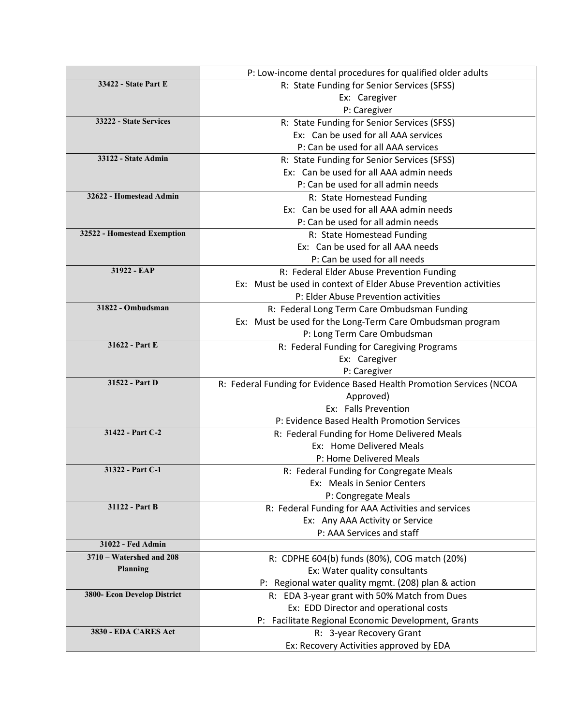|                             | P: Low-income dental procedures for qualified older adults            |
|-----------------------------|-----------------------------------------------------------------------|
| 33422 - State Part E        | R: State Funding for Senior Services (SFSS)                           |
|                             | Ex: Caregiver                                                         |
|                             | P: Caregiver                                                          |
| 33222 - State Services      | R: State Funding for Senior Services (SFSS)                           |
|                             | Ex: Can be used for all AAA services                                  |
|                             | P: Can be used for all AAA services                                   |
| 33122 - State Admin         | R: State Funding for Senior Services (SFSS)                           |
|                             | Ex: Can be used for all AAA admin needs                               |
|                             | P: Can be used for all admin needs                                    |
| 32622 - Homestead Admin     | R: State Homestead Funding                                            |
|                             | Ex: Can be used for all AAA admin needs                               |
|                             | P: Can be used for all admin needs                                    |
| 32522 - Homestead Exemption | R: State Homestead Funding                                            |
|                             | Ex: Can be used for all AAA needs                                     |
|                             | P: Can be used for all needs                                          |
| 31922 - EAP                 | R: Federal Elder Abuse Prevention Funding                             |
|                             | Ex: Must be used in context of Elder Abuse Prevention activities      |
|                             | P: Elder Abuse Prevention activities                                  |
| 31822 - Ombudsman           | R: Federal Long Term Care Ombudsman Funding                           |
|                             | Ex: Must be used for the Long-Term Care Ombudsman program             |
|                             | P: Long Term Care Ombudsman                                           |
| 31622 - Part E              | R: Federal Funding for Caregiving Programs                            |
|                             | Ex: Caregiver                                                         |
|                             | P: Caregiver                                                          |
| 31522 - Part D              | R: Federal Funding for Evidence Based Health Promotion Services (NCOA |
|                             | Approved)                                                             |
|                             | Ex: Falls Prevention                                                  |
|                             | P: Evidence Based Health Promotion Services                           |
| 31422 - Part C-2            | R: Federal Funding for Home Delivered Meals                           |
|                             | Ex: Home Delivered Meals                                              |
|                             | P: Home Delivered Meals                                               |
| 31322 - Part C-1            | R: Federal Funding for Congregate Meals                               |
|                             | Ex: Meals in Senior Centers                                           |
|                             | P: Congregate Meals                                                   |
| 31122 - Part B              | R: Federal Funding for AAA Activities and services                    |
|                             | Ex: Any AAA Activity or Service                                       |
|                             | P: AAA Services and staff                                             |
| 31022 - Fed Admin           |                                                                       |
| 3710 - Watershed and 208    | R: CDPHE 604(b) funds (80%), COG match (20%)                          |
| Planning                    | Ex: Water quality consultants                                         |
|                             | P: Regional water quality mgmt. (208) plan & action                   |
| 3800- Econ Develop District | R: EDA 3-year grant with 50% Match from Dues                          |
|                             | Ex: EDD Director and operational costs                                |
|                             | P: Facilitate Regional Economic Development, Grants                   |
| 3830 - EDA CARES Act        | R: 3-year Recovery Grant                                              |
|                             | Ex: Recovery Activities approved by EDA                               |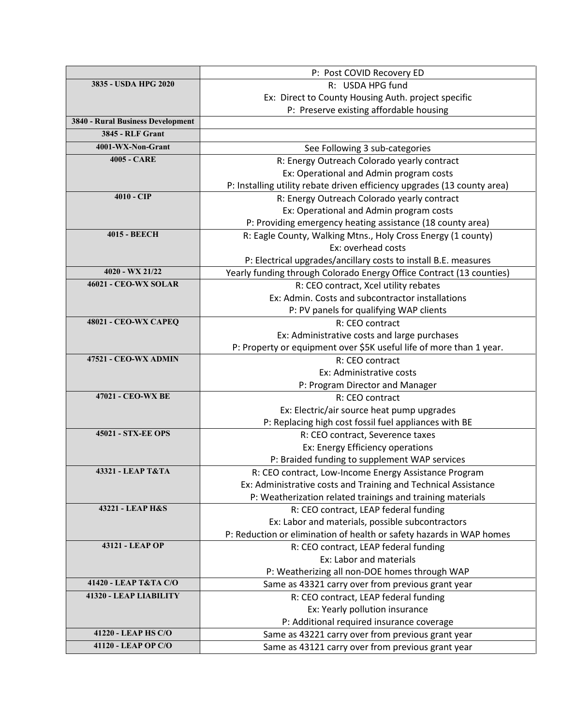|                                   | P: Post COVID Recovery ED                                                |
|-----------------------------------|--------------------------------------------------------------------------|
| 3835 - USDA HPG 2020              | R: USDA HPG fund                                                         |
|                                   | Ex: Direct to County Housing Auth. project specific                      |
|                                   | P: Preserve existing affordable housing                                  |
| 3840 - Rural Business Development |                                                                          |
| <b>3845 - RLF Grant</b>           |                                                                          |
| 4001-WX-Non-Grant                 | See Following 3 sub-categories                                           |
| <b>4005 - CARE</b>                | R: Energy Outreach Colorado yearly contract                              |
|                                   | Ex: Operational and Admin program costs                                  |
|                                   | P: Installing utility rebate driven efficiency upgrades (13 county area) |
| $4010 - CIP$                      | R: Energy Outreach Colorado yearly contract                              |
|                                   | Ex: Operational and Admin program costs                                  |
|                                   | P: Providing emergency heating assistance (18 county area)               |
| <b>4015 - BEECH</b>               | R: Eagle County, Walking Mtns., Holy Cross Energy (1 county)             |
|                                   | Ex: overhead costs                                                       |
|                                   | P: Electrical upgrades/ancillary costs to install B.E. measures          |
| 4020 - WX 21/22                   | Yearly funding through Colorado Energy Office Contract (13 counties)     |
| <b>46021 - CEO-WX SOLAR</b>       | R: CEO contract, Xcel utility rebates                                    |
|                                   | Ex: Admin. Costs and subcontractor installations                         |
|                                   | P: PV panels for qualifying WAP clients                                  |
| <b>48021 - CEO-WX CAPEQ</b>       | R: CEO contract                                                          |
|                                   | Ex: Administrative costs and large purchases                             |
|                                   | P: Property or equipment over \$5K useful life of more than 1 year.      |
| 47521 - CEO-WX ADMIN              | R: CEO contract                                                          |
|                                   | Ex: Administrative costs                                                 |
|                                   | P: Program Director and Manager                                          |
| 47021 - CEO-WX BE                 | R: CEO contract                                                          |
|                                   | Ex: Electric/air source heat pump upgrades                               |
|                                   | P: Replacing high cost fossil fuel appliances with BE                    |
| <b>45021 - STX-EE OPS</b>         | R: CEO contract, Severence taxes                                         |
|                                   | Ex: Energy Efficiency operations                                         |
|                                   | P: Braided funding to supplement WAP services                            |
| 43321 - LEAP T&TA                 | R: CEO contract, Low-Income Energy Assistance Program                    |
|                                   | Ex: Administrative costs and Training and Technical Assistance           |
|                                   | P: Weatherization related trainings and training materials               |
| 43221 - LEAP H&S                  | R: CEO contract, LEAP federal funding                                    |
|                                   | Ex: Labor and materials, possible subcontractors                         |
|                                   | P: Reduction or elimination of health or safety hazards in WAP homes     |
| 43121 - LEAP OP                   | R: CEO contract, LEAP federal funding                                    |
|                                   | Ex: Labor and materials                                                  |
|                                   | P: Weatherizing all non-DOE homes through WAP                            |
| 41420 - LEAP T&TA C/O             | Same as 43321 carry over from previous grant year                        |
| 41320 - LEAP LIABILITY            | R: CEO contract, LEAP federal funding                                    |
|                                   | Ex: Yearly pollution insurance                                           |
|                                   | P: Additional required insurance coverage                                |
| 41220 - LEAP HS C/O               | Same as 43221 carry over from previous grant year                        |
| 41120 - LEAP OP C/O               | Same as 43121 carry over from previous grant year                        |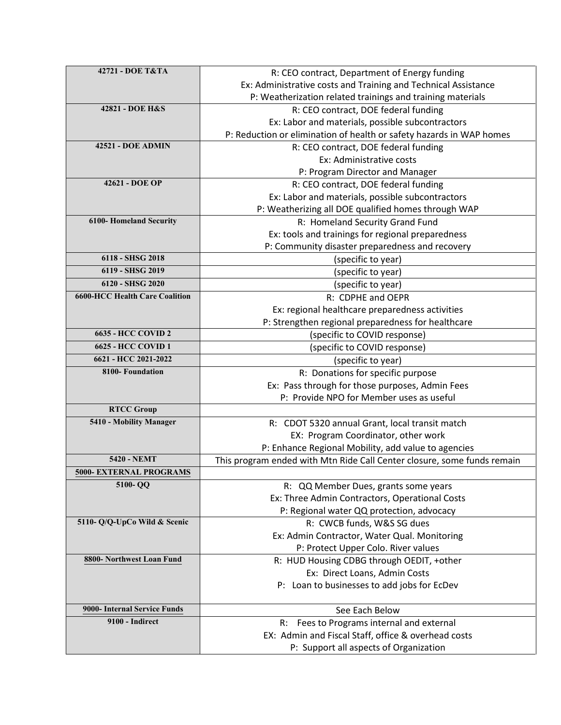| 42721 - DOE T&TA                                | R: CEO contract, Department of Energy funding                           |
|-------------------------------------------------|-------------------------------------------------------------------------|
|                                                 | Ex: Administrative costs and Training and Technical Assistance          |
|                                                 | P: Weatherization related trainings and training materials              |
| 42821 - DOE H&S                                 | R: CEO contract, DOE federal funding                                    |
|                                                 | Ex: Labor and materials, possible subcontractors                        |
|                                                 | P: Reduction or elimination of health or safety hazards in WAP homes    |
| <b>42521 - DOE ADMIN</b>                        | R: CEO contract, DOE federal funding                                    |
|                                                 | Ex: Administrative costs                                                |
|                                                 | P: Program Director and Manager                                         |
| 42621 - DOE OP                                  | R: CEO contract, DOE federal funding                                    |
|                                                 | Ex: Labor and materials, possible subcontractors                        |
|                                                 | P: Weatherizing all DOE qualified homes through WAP                     |
| <b>6100-Homeland Security</b>                   | R: Homeland Security Grand Fund                                         |
|                                                 | Ex: tools and trainings for regional preparedness                       |
|                                                 | P: Community disaster preparedness and recovery                         |
| 6118 - SHSG 2018                                | (specific to year)                                                      |
| 6119 - SHSG 2019                                | (specific to year)                                                      |
| 6120 - SHSG 2020                                | (specific to year)                                                      |
| <b>6600-HCC Health Care Coalition</b>           | R: CDPHE and OEPR                                                       |
|                                                 | Ex: regional healthcare preparedness activities                         |
|                                                 | P: Strengthen regional preparedness for healthcare                      |
| <b>6635 - HCC COVID 2</b>                       | (specific to COVID response)                                            |
| 6625 - HCC COVID 1                              | (specific to COVID response)                                            |
| 6621 - HCC 2021-2022                            | (specific to year)                                                      |
| 8100- Foundation                                | R: Donations for specific purpose                                       |
|                                                 | Ex: Pass through for those purposes, Admin Fees                         |
|                                                 | P: Provide NPO for Member uses as useful                                |
| <b>RTCC Group</b>                               |                                                                         |
| 5410 - Mobility Manager                         | R: CDOT 5320 annual Grant, local transit match                          |
|                                                 | EX: Program Coordinator, other work                                     |
|                                                 | P: Enhance Regional Mobility, add value to agencies                     |
| 5420 - NEMT                                     | This program ended with Mtn Ride Call Center closure, some funds remain |
| 5000- EXTERNAL PROGRAMS                         |                                                                         |
| 5100-QQ                                         | R: QQ Member Dues, grants some years                                    |
|                                                 | Ex: Three Admin Contractors, Operational Costs                          |
|                                                 | P: Regional water QQ protection, advocacy                               |
| 5110- Q/Q-UpCo Wild & Scenic                    | R: CWCB funds, W&S SG dues                                              |
|                                                 | Ex: Admin Contractor, Water Qual. Monitoring                            |
|                                                 | P: Protect Upper Colo. River values                                     |
| 8800- Northwest Loan Fund                       | R: HUD Housing CDBG through OEDIT, +other                               |
|                                                 | Ex: Direct Loans, Admin Costs                                           |
|                                                 | P: Loan to businesses to add jobs for EcDev                             |
|                                                 |                                                                         |
| 9000- Internal Service Funds<br>9100 - Indirect | See Each Below                                                          |
|                                                 | R: Fees to Programs internal and external                               |
|                                                 | EX: Admin and Fiscal Staff, office & overhead costs                     |
|                                                 | P: Support all aspects of Organization                                  |